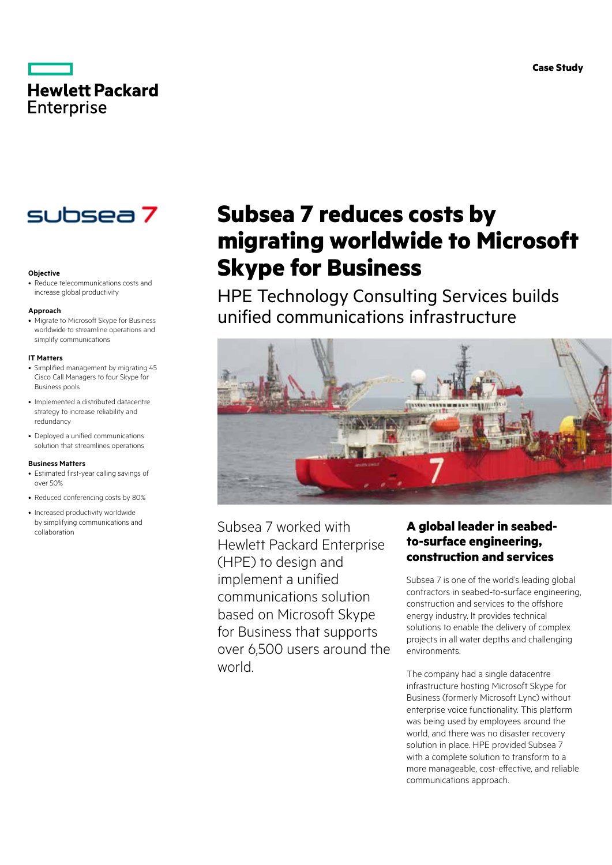# **Hewlett Packard** Enterprise



## **Objective**

• Reduce telecommunications costs and increase global productivity

### **Approach**

• Migrate to Microsoft Skype for Business worldwide to streamline operations and simplify communications

### **IT Matters**

- Simplified management by migrating 45 Cisco Call Managers to four Skype for Business pools
- Implemented a distributed datacentre strategy to increase reliability and redundancy
- Deployed a unified communications solution that streamlines operations

### **Business Matters**

- Estimated first-year calling savings of over 50%
- Reduced conferencing costs by 80%
- Increased productivity worldwide by simplifying communications and collaboration

# **Subsea 7 reduces costs by migrating worldwide to Microsoft Skype for Business**

HPE Technology Consulting Services builds unified communications infrastructure



Subsea 7 worked with Hewlett Packard Enterprise (HPE) to design and implement a unified communications solution based on Microsoft Skype for Business that supports over 6,500 users around the world.

## **A global leader in seabedto-surface engineering, construction and services**

Subsea 7 is one of the world's leading global contractors in seabed-to-surface engineering, construction and services to the offshore energy industry. It provides technical solutions to enable the delivery of complex projects in all water depths and challenging environments.

The company had a single datacentre infrastructure hosting Microsoft Skype for Business (formerly Microsoft Lync) without enterprise voice functionality. This platform was being used by employees around the world, and there was no disaster recovery solution in place. HPE provided Subsea 7 with a complete solution to transform to a more manageable, cost-effective, and reliable communications approach.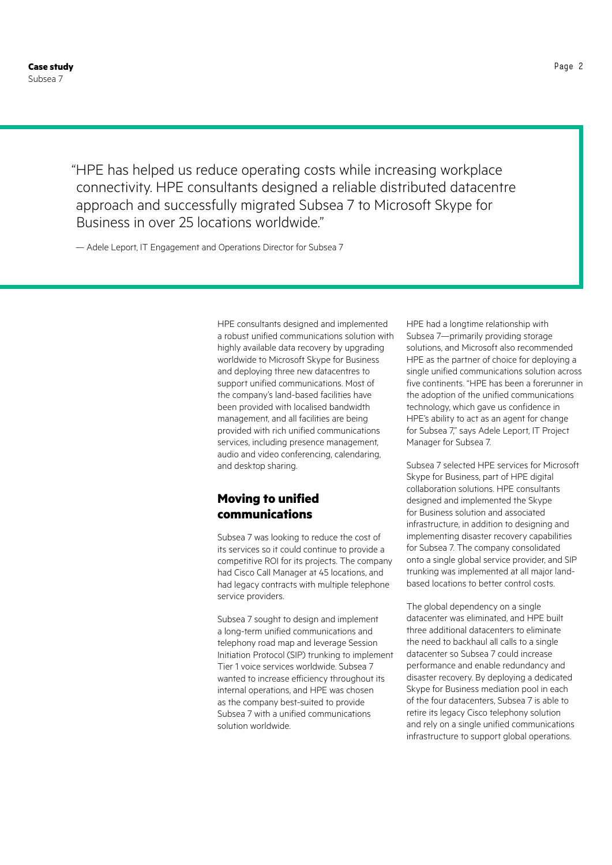"HPE has helped us reduce operating costs while increasing workplace connectivity. HPE consultants designed a reliable distributed datacentre approach and successfully migrated Subsea 7 to Microsoft Skype for Business in over 25 locations worldwide."

— Adele Leport, IT Engagement and Operations Director for Subsea 7

HPE consultants designed and implemented a robust unified communications solution with highly available data recovery by upgrading worldwide to Microsoft Skype for Business and deploying three new datacentres to support unified communications. Most of the company's land-based facilities have been provided with localised bandwidth management, and all facilities are being provided with rich unified communications services, including presence management, audio and video conferencing, calendaring, and desktop sharing.

## **Moving to unified communications**

Subsea 7 was looking to reduce the cost of its services so it could continue to provide a competitive ROI for its projects. The company had Cisco Call Manager at 45 locations, and had legacy contracts with multiple telephone service providers.

Subsea 7 sought to design and implement a long-term unified communications and telephony road map and leverage Session Initiation Protocol (SIP) trunking to implement Tier 1 voice services worldwide. Subsea 7 wanted to increase efficiency throughout its internal operations, and HPE was chosen as the company best-suited to provide Subsea 7 with a unified communications solution worldwide.

HPE had a longtime relationship with Subsea 7—primarily providing storage solutions, and Microsoft also recommended HPE as the partner of choice for deploying a single unified communications solution across five continents. "HPE has been a forerunner in the adoption of the unified communications technology, which gave us confidence in HPE's ability to act as an agent for change for Subsea 7," says Adele Leport, IT Project Manager for Subsea 7.

Subsea 7 selected HPE services for Microsoft Skype for Business, part of HPE digital collaboration solutions. HPE consultants designed and implemented the Skype for Business solution and associated infrastructure, in addition to designing and implementing disaster recovery capabilities for Subsea 7. The company consolidated onto a single global service provider, and SIP trunking was implemented at all major landbased locations to better control costs.

The global dependency on a single datacenter was eliminated, and HPE built three additional datacenters to eliminate the need to backhaul all calls to a single datacenter so Subsea 7 could increase performance and enable redundancy and disaster recovery. By deploying a dedicated Skype for Business mediation pool in each of the four datacenters, Subsea 7 is able to retire its legacy Cisco telephony solution and rely on a single unified communications infrastructure to support global operations.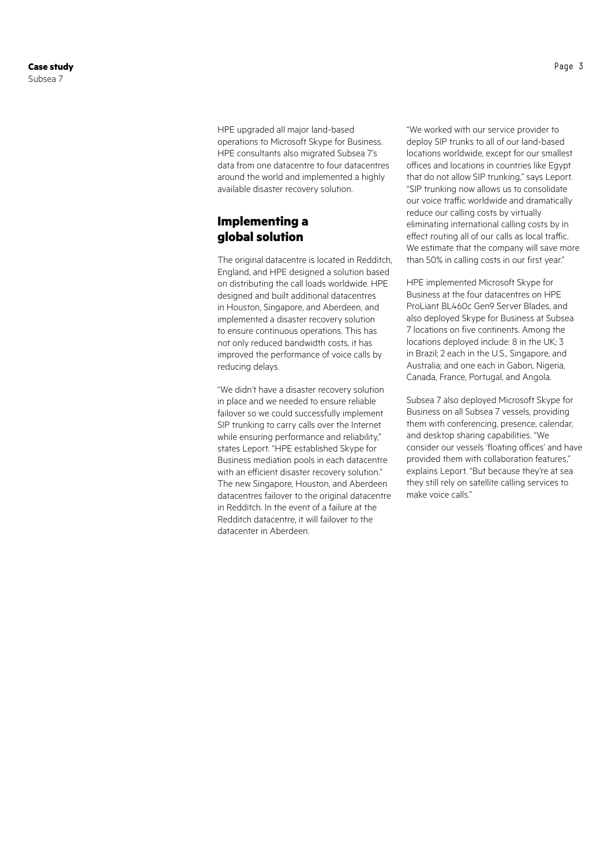HPE upgraded all major land-based operations to Microsoft Skype for Business. HPE consultants also migrated Subsea 7's data from one datacentre to four datacentres around the world and implemented a highly available disaster recovery solution.

## **Implementing a global solution**

The original datacentre is located in Redditch, England, and HPE designed a solution based on distributing the call loads worldwide. HPE designed and built additional datacentres in Houston, Singapore, and Aberdeen, and implemented a disaster recovery solution to ensure continuous operations. This has not only reduced bandwidth costs, it has improved the performance of voice calls by reducing delays.

"We didn't have a disaster recovery solution in place and we needed to ensure reliable failover so we could successfully implement SIP trunking to carry calls over the Internet while ensuring performance and reliability," states Leport. "HPE established Skype for Business mediation pools in each datacentre with an efficient disaster recovery solution." The new Singapore, Houston, and Aberdeen datacentres failover to the original datacentre in Redditch. In the event of a failure at the Redditch datacentre, it will failover to the datacenter in Aberdeen.

"We worked with our service provider to deploy SIP trunks to all of our land-based locations worldwide, except for our smallest offices and locations in countries like Egypt that do not allow SIP trunking," says Leport. "SIP trunking now allows us to consolidate our voice traffic worldwide and dramatically reduce our calling costs by virtually eliminating international calling costs by in effect routing all of our calls as local traffic. We estimate that the company will save more than 50% in calling costs in our first year."

HPE implemented Microsoft Skype for Business at the four datacentres on HPE ProLiant BL460c Gen9 Server Blades, and also deployed Skype for Business at Subsea 7 locations on five continents. Among the locations deployed include: 8 in the UK; 3 in Brazil; 2 each in the U.S., Singapore, and Australia; and one each in Gabon, Nigeria, Canada, France, Portugal, and Angola.

Subsea 7 also deployed Microsoft Skype for Business on all Subsea 7 vessels, providing them with conferencing, presence, calendar, and desktop sharing capabilities. "We consider our vessels 'floating offices' and have provided them with collaboration features" explains Leport. "But because they're at sea they still rely on satellite calling services to make voice calls."